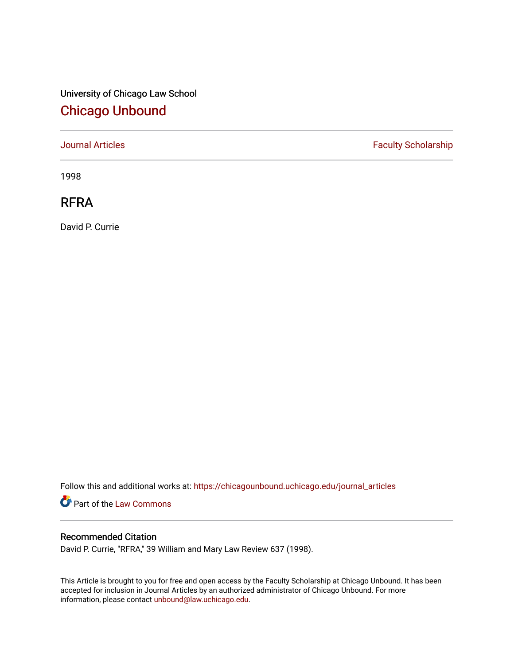# University of Chicago Law School [Chicago Unbound](https://chicagounbound.uchicago.edu/)

[Journal Articles](https://chicagounbound.uchicago.edu/journal_articles) **Faculty Scholarship Faculty Scholarship** 

1998

## RFRA

David P. Currie

Follow this and additional works at: [https://chicagounbound.uchicago.edu/journal\\_articles](https://chicagounbound.uchicago.edu/journal_articles?utm_source=chicagounbound.uchicago.edu%2Fjournal_articles%2F3749&utm_medium=PDF&utm_campaign=PDFCoverPages) 

Part of the [Law Commons](http://network.bepress.com/hgg/discipline/578?utm_source=chicagounbound.uchicago.edu%2Fjournal_articles%2F3749&utm_medium=PDF&utm_campaign=PDFCoverPages)

### Recommended Citation

David P. Currie, "RFRA," 39 William and Mary Law Review 637 (1998).

This Article is brought to you for free and open access by the Faculty Scholarship at Chicago Unbound. It has been accepted for inclusion in Journal Articles by an authorized administrator of Chicago Unbound. For more information, please contact [unbound@law.uchicago.edu](mailto:unbound@law.uchicago.edu).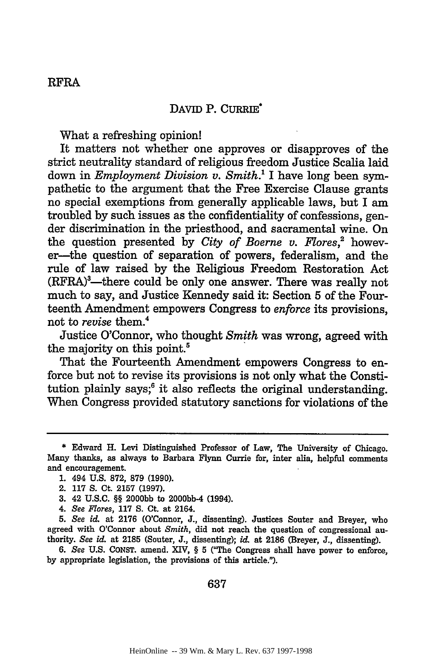#### DAVID P. CURRIE

What a refreshing opinion!

It matters not whether one approves or disapproves of the strict neutrality standard of religious freedom Justice Scalia laid down in *Employment Division v. Smith.'* I have long been sympathetic to the argument that the Free Exercise Clause grants no special exemptions from generally applicable laws, but I am troubled by such issues as the confidentiality of confessions, gender discrimination in the priesthood, and sacramental wine. On the question presented by *City of Boerne v. Flores*,<sup>2</sup> however-the question of separation of powers, federalism, and the rule of law raised by the Religious Freedom Restoration Act (RFRA)<sup>3</sup>—there could be only one answer. There was really not much to say, and Justice Kennedy said it: Section 5 of the Fourteenth Amendment empowers Congress to *enforce* its provisions, not to *revise* them.4

Justice O'Connor, who thought *Smith* was wrong, agreed with the majority on this point.<sup>5</sup>

That the Fourteenth Amendment empowers Congress to enforce but not to revise its provisions is not only what the Constitution plainly says; $6$  it also reflects the original understanding. When Congress provided statutory sanctions for violations of the

- 3. 42 U.S.C. §§ 2000bb to 2000bb-4 (1994).
- 4. *See Flores,* **117 S.** Ct. at 2164.

*5. See id.* at 2176 (O'Connor, J., dissenting). Justices Souter and Breyer, who agreed with O'Connor about *Smith,* did not reach the question of congressional authority. *See id.* at 2185 (Souter, J., dissenting); id& at 2186 (Breyer, J., dissenting).

*6. See* U.S. CONST. amend. XIV, § 5 ("The Congress shall have power to enforce, by appropriate legislation, the provisions of this article.").

**637**

<sup>\*</sup> Edward H. Levi Distinguished Professor of Law, The University of Chicago. Many thanks, as always to Barbara Flynn Currie for, inter alia, helpful comments and encouragement.

<sup>1. 494</sup> U.S. 872, 879 (1990).

<sup>2.</sup> **117** S. Ct. 2157 (1997).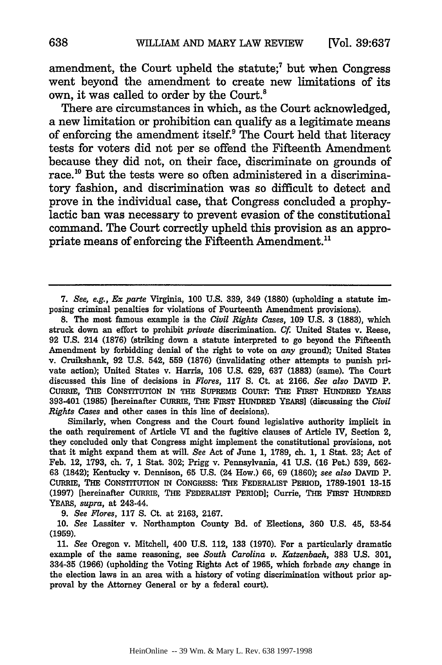amendment, the Court upheld the statute; $<sup>7</sup>$  but when Congress</sup> went beyond the amendment to create new limitations of its own, it was called to order by the Court.<sup>8</sup>

There are circumstances in which, as the Court acknowledged, a new limitation or prohibition can qualify as a legitimate means of enforcing the amendment itself? The Court held that literacy tests for voters did not per se offend the Fifteenth Amendment because they did not, on their face, discriminate on grounds of race.<sup>10</sup> But the tests were so often administered in a discriminatory fashion, and discrimination was so difficult to detect and prove in the individual case, that Congress concluded a prophylactic ban was necessary to prevent evasion of the constitutional command. The Court correctly upheld this provision as an appropriate means of enforcing the Fifteenth Amendment.<sup>11</sup>

8. The most famous example is the *Civil Rights Cases,* **109 U.S.** 3 (1883), which struck down an effort to prohibit *private* discrimination. *Cf* United States v. Reese, 92 U.S. 214 (1876) (striking down a statute interpreted to go beyond the Fifteenth Amendment by forbidding denial of the right to vote on *any* ground); United States v. Cruikshank, 92 U.S. 542, **559** (1876) (invalidating other attempts to punish private action); United States v. Harris, 106 U.S. 629, 637 (1883) (same). The Court discussed this line of decisions in *Flores,* **117 S.** Ct. at 2166. *See also* DAVID P. CURRIE, THE CONSTITUTION IN **THE** SUPREME COURT: **THE** FIRST HUNDRED YEARS 393-401 **(1985)** [hereinafter **CURRIE, THE FIRST HUNDRED YEARS]** (discussing the *Civil Rights Cases* and other cases in this line of decisions).

Similarly, when Congress and the Court found legislative authority implicit in the oath requirement of Article VI and the fugitive clauses of Article IV, Section 2, they concluded only that Congress might implement the constitutional provisions, not that it might expand them at will. *See* Act of June **1, 1789,** ch. **1, 1** Stat. **23;** Act of Feb. 12, **1793,** ch. **7, 1** Stat. **302;** Prigg v. Pennsylvania, 41 **U.S. (16** Pet.) **539, 562- 63** (1842); Kentucky v. Dennison, **65 U.S.** (24 How.) **66, 69 (1860);** *see also* **DAVID P.** CURRIE, **THE** CONSTITUTION IN **CONGRESS: THE** FEDERALIST PERIOD, **1789-1901 13-15 (1997)** [hereinafter CURRIE, THE FEDERALIST PERIOD]; Currie, THE FIRST **HUNDRED** YEARS, *supra,* at 243-44.

*9. See Flores,* **117 S.** Ct. at **2163, 2167.**

**10.** *See* Lassiter v. Northampton County **Bd.** of Elections, **360 U.S.** 45, **53-54 (1959).**

**11.** *See* Oregon v. Mitchell, 400 **U.S.** 112, **133 (1970).** For a particularly dramatic example of the same reasoning, see *South Carolina v. Katzenbach,* **383 U.S. 301, 334-35 (1966)** (upholding the Voting Rights Act of **1965,** which forbade *any* change in the election laws in an area with a history of voting discrimination without prior approval **by** the Attorney General or **by** a federal court).

<sup>7.</sup> *See, e.g., Ex parte* Virginia, 100 U.S. 339, 349 (1880) (upholding a statute imposing criminal penalties for violations of Fourteenth Amendment provisions).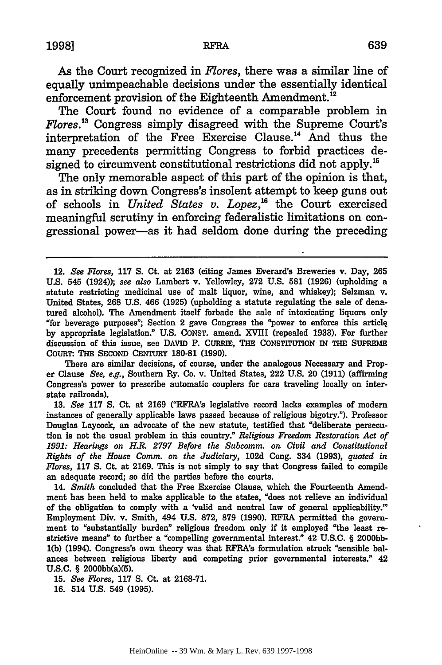As the Court recognized in *Flores,* there was a similar line of equally unimpeachable decisions under the essentially identical enforcement provision of the Eighteenth Amendment.<sup>12</sup>

The Court found no evidence of a comparable problem in *Flores.3* Congress simply disagreed with the Supreme Court's interpretation of the Free Exercise Clause.'4 And thus the many precedents permitting Congress to forbid practices designed to circumvent constitutional restrictions did not apply.<sup>15</sup>

The only memorable aspect of this part of the opinion is that, as in striking down Congress's insolent attempt to keep guns out of schools in *United States v. Lopez,"* the Court exercised meaningful scrutiny in enforcing federalistic limitations on congressional power-as it had seldom done during the preceding

There are similar decisions, of course, under the analogous Necessary and Proper Clause *See, e.g.,* Southern Ry. Co. v. United States, 222 **U.S.** 20 **(1911)** (affirming Congress's power to prescribe automatic couplers for cars traveling locally on interstate railroads).

**13.** *See* **117 S.** Ct. at **2169** ("RFRA's legislative record lacks examples of modern instances of generally applicable laws passed because of religious bigotry."). Professor Douglas Laycock, an advocate of the new statute, testified that "deliberate persecution is not the usual problem in this country." *Religious Freedom Restoration Act of 1991: Hearings on H.R. 2797 Before the Subcomm. on Civil and Constitutional Rights of the House Comm. on the Judiciary,* 102d Cong. 334 (1993), *quoted in Flores,* **117 S.** Ct. at 2169. This is not simply to say that Congress failed to compile an adequate record; so did the parties before the courts.

14. *Smith* concluded that the Free Exercise Clause, which the Fourteenth Amendment has been held to make applicable to the states, "does not relieve an individual of the obligation to comply with a 'valid and neutral law of general applicability." Employment Div. v. Smith, 494 U.S. 872, **879** (1990). RFRA permitted the government to "substantially burden" religious freedom only if it employed "the least restrictive means" to further a "compelling governmental interest." 42 U.S.C. § 2000bb-**1(b)** (1994). Congress's own theory was that **RFRA's** formulation struck "sensible balances between religious liberty and competing prior governmental interests." 42 U.S.C. § 2000bb(a)(5).

**15.** *See Fores,* **117 S.** Ct. at 2168-71.

**16.** 514 U.S. 549 (1995).

<sup>12.</sup> *See Flores,* 117 **S.** Ct. at 2163 (citing James Everard's Breweries v. Day, **265** U.S. 545 (1924)); *see also* Lambert v. Yellowley, 272 U.S. **581** (1926) (upholding a statute restricting medicinal use of malt liquor, wine, and whiskey); Selzman v. United States, **268** U.S. 466 (1925) (upholding a statute regulating the sale of denatured alcohol). The Amendment itself forbade the sale of intoxicating liquors only "for beverage purposes"; Section 2 gave Congress the "power to enforce this articlq by appropriate legislation." U.S. CONST. amend. XVIII (repealed 1933). For further discussion of this issue, see DAVID P. CURRIE, THE **CONSTITUTION** IN THE **SUPREME** COURT: THE SECOND CENTURY 180-81 (1990).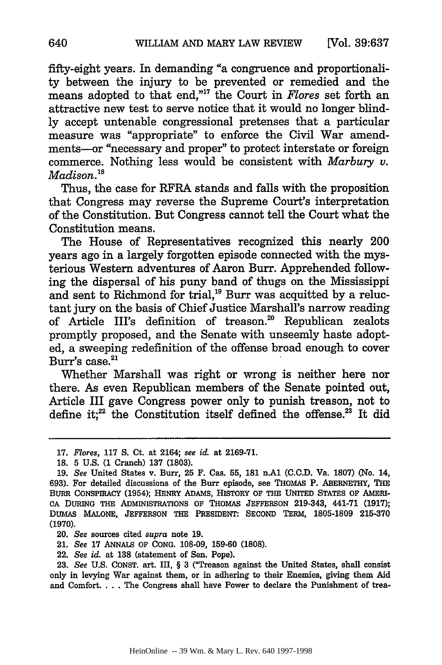fifty-eight years. In demanding "a congruence and proportionality between the injury to be prevented or remedied and the means adopted to that end,"<sup>17</sup> the Court in *Flores* set forth an attractive new test to serve notice that it would no longer blindly accept untenable congressional pretenses that a particular measure was "appropriate" to enforce the Civil War amendments-or "necessary and proper" to protect interstate or foreign commerce. Nothing less would be consistent with *Marbury v. Madison."*

Thus, the case for RFRA stands and falls with the proposition that Congress may reverse the Supreme Court's interpretation of the Constitution. But Congress cannot tell the Court what the Constitution means.

The House of Representatives recognized this nearly 200 years ago in a largely forgotten episode connected with the mysterious Western adventures of Aaron Burr. Apprehended following the dispersal of his puny band of thugs on the Mississippi and sent to Richmond for trial,<sup>19</sup> Burr was acquitted by a reluctant jury on the basis of Chief Justice Marshall's narrow reading of Article III's definition of treason.<sup>20</sup> Republican zealots promptly proposed, and the Senate with unseemly haste adopted, a sweeping redefinition of the offense broad enough to cover Burr's case.<sup>21</sup>

Whether Marshall was right or wrong is neither here nor there. As even Republican members of the Senate pointed out, Article III gave Congress power only to punish treason, not to define it;<sup>22</sup> the Constitution itself defined the offense.<sup>23</sup> It did

<sup>17.</sup> *Flores,* **117** S. Ct. at 2164; *see id.* at 2169-71.

<sup>18.</sup> **5** U.S. (1 Cranch) 137 (1803).

**<sup>19.</sup>** *See* United States v. Burr, **25** F. Cas. **55, 181** n.A1 **(C.C.D.** Va. **1807)** (No. 14, 693). For detailed discussions of the Burr episode, see THOMAS P. ABERNETHY, THE **BURR** CONSPIRACY (1954); **HENRY** ADAMS, HISTORY **OF THE** UNITED **STATES OF AMERI-CA DURING THE** ADMINISTRATIONS **OF** THOMAS **JEFFERSON** 219-343, 441-71 **(1917);** DUMAS **MALONE, JEFFERSON THE PRESMENT:** SECOND TERM, **1805-1809 215-370** (1970).

<sup>20.</sup> *See* sources cited *supra* note 19.

<sup>21.</sup> *See* **17 ANNALS OF CONG. 108-09, 159-60 (1808).**

<sup>22.</sup> *See id.* at 138 (statement of Sen. Pope).

<sup>23.</sup> *See* U.S. **CONST.** art. III, § 3 ("Treason against the United States, shall consist only in levying War against them, or in adhering to their Enemies, giving them Aid and Comfort.... The Congress shall have Power to declare the Punishment of trea-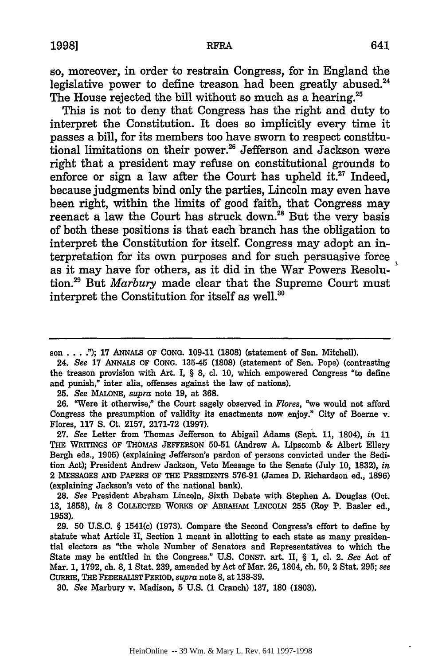so, moreover, in order to restrain Congress, for in England the legislative power to define treason had been greatly abused.<sup>24</sup> The House rejected the bill without so much as a hearing.<sup>25</sup>

This is not to deny that Congress has the right and duty to interpret the Constitution. It does so implicitly every time it passes a bill, for its members too have sworn to respect constitutional limitations on their power.<sup>26</sup> Jefferson and Jackson were right that a president may refuse on constitutional grounds to enforce or sign a law after the Court has upheld it. $27$  Indeed, because judgments bind only the parties, Lincoln may even have been right, within the limits of good faith, that Congress may reenact a law the Court has struck down.<sup>28</sup> But the very basis of both these positions is that each branch has the obligation to interpret the Constitution for itself. Congress may adopt an interpretation for its own purposes and for such persuasive force as it may have for others, as it did in the War Powers Resolution.29 But *Marbury* made clear that the Supreme Court must interpret the Constitution for itself as well.<sup>30</sup>

son **... ."); 17** ANNALS OF **CONG. 109-11 (1808)** (statement of Sen. Mitchell).

24. *See* **17** ANNALS OF **CONG.** 135-45 **(1808)** (statement of Sen. Pope) (contrasting the treason provision with Art. I, § **8, cl. 10,** which empowered Congress "to define and punish," inter alia, offenses against the law of nations).

**25.** *See* MALONE, *supra* note **19,** at **368.**

26. "Were it otherwise," the Court sagely observed in *Flores*, "we would not afford Congress the presumption of validity its enactments now enjoy." City of Boerne v. Flores, **117 S.** Ct. **2157, 2171-72 (1997).**

**27.** *See* Letter from Thomas Jefferson to Abigail Adams (Sept. **11,** 1804), *in* **11** THE WRITINGS OF **THOMAS JEFFERSON 50-51** (Andrew **A.** Lipscomb **&** Albert Ellery Bergh eds., **1905)** (explaining Jefferson's pardon of persons convicted under the Sedition Act); President Andrew Jackson, Veto Message to the Senate (July **10, 1832),** in 2 MESSAGES **AND** PAPERS **OF THE** PRESIDENTS **576-91** (James **D.** Richardson ed., **1896)** (explaining Jackson's veto of the national bank).

**28.** *See* President Abraham Lincoln, Sixth Debate with Stephen **A.** Douglas (Oct. **13, 1858),** *in* **3 COLLECTED** WORKS **OF** ABRAHAM **LINCOLN 255** (Roy P. Basler ed., **1953).**

**29. 50 U.S.C.** § 1541(c) **(1973).** Compare the Second Congress's effort to define **by** statute what Article II, Section **1** meant in allotting to each state as many presidential electors as "the whole Number of Senators and Representatives to which the State may be entitled in the Congress." **U.S. CONST.** art. II, § **1, c.** 2. *See* Act of Mar. **1, 1792,** ch. **8, 1** Stat. **239,** amended **by** Act of Mar. **26,** 1804, ch. **50,** 2 Stat. **295;** *see* CURRIE, **THE FEDERALIST** PERIOD, *supra* note **8,** at **138-39.**

**30.** *See* Marbury v. Madison, **5 U.S. (1** Cranch) **137, 180 (1803).**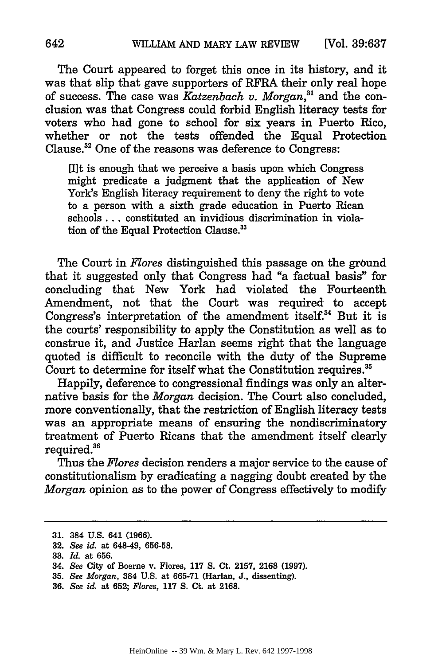The Court appeared to forget this once in its history, and it was that slip that gave supporters of RFRA their only real hope of success. The case was *Katzenbach v. Morgan,"1* and the conclusion was that Congress could forbid English literacy tests for voters who had gone to school for six years in Puerto Rico, whether or not the tests offended the Equal Protection Clause.<sup>32</sup> One of the reasons was deference to Congress:

[I]t is enough that we perceive a basis upon which Congress might predicate a judgment that the application of New York's English literacy requirement to deny the right to vote to a person with a sixth grade education in Puerto Rican schools **...** constituted an invidious discrimination in violation of the Equal Protection Clause.<sup>33</sup>

The Court in *Flores* distinguished this passage on the ground that it suggested only that Congress had "a factual basis" for concluding that New York had violated the Fourteenth Amendment, not that the Court was required to accept Congress's interpretation of the amendment itself.<sup>34</sup> But it is the courts' responsibility to apply the Constitution as well as to construe it, and Justice Harlan seems right that the language quoted is difficult to reconcile with the duty of the Supreme Court to determine for itself what the Constitution requires.<sup>35</sup>

Happily, deference to congressional findings was only an alternative basis for the *Morgan* decision. The Court also concluded, more conventionally, that the restriction of English literacy tests was an appropriate means of ensuring the nondiscriminatory treatment of Puerto Ricans that the amendment itself clearly required.<sup>36</sup>

Thus the *Flores* decision renders a major service to the cause of constitutionalism by eradicating a nagging doubt created by the *Morgan* opinion as to the power of Congress effectively to modify

36. *See id.* at 652; *Flores,* **117 S.** Ct. at 2168.

**<sup>31.</sup>** 384 U.S. 641 (1966).

**<sup>32.</sup>** *See id.* at 648-49, 656-58.

<sup>33.</sup> *Id.* at 656.

<sup>34.</sup> *See* City of Boerne v. Flores, 117 S. Ct. 2157, 2168 (1997).

<sup>35.</sup> *See Morgan,* 384 U.S. at 665-71 (Harlan, J., dissenting).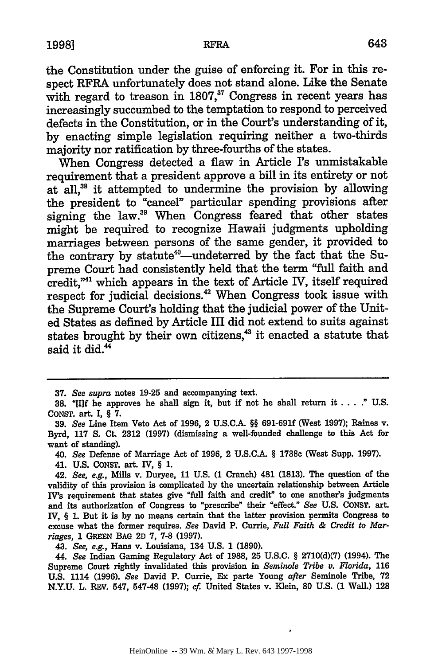the Constitution under the guise of enforcing it. For in this respect RFRA unfortunately does not stand alone. Like the Senate with regard to treason in 1807,<sup>37</sup> Congress in recent years has increasingly succumbed to the temptation to respond to perceived defects in the Constitution, or in the Court's understanding of it, by enacting simple legislation requiring neither a two-thirds majority nor ratification by three-fourths of the states.

When Congress detected a flaw in Article **rs** unmistakable requirement that a president approve a bill in its entirety or not at all,<sup>38</sup> it attempted to undermine the provision by allowing the president to "cancel" particular spending provisions after signing the law.<sup>39</sup> When Congress feared that other states might be required to recognize Hawaii judgments upholding marriages between persons of the same gender, it provided to the contrary by statute<sup>40</sup>--undeterred by the fact that the Supreme Court had consistently held that the term "full faith and credit,"<sup>41</sup> which appears in the text of Article IV, itself required respect for judicial decisions.<sup>42</sup> When Congress took issue with the Supreme Court's holding that the judicial power of the United States as defined by Article III did not extend to suits against states brought by their own citizens,<sup>43</sup> it enacted a statute that said it did.<sup>44</sup>

**37.** *See supra* notes **19-25** and accompanying text.

40. *See* Defense of Marriage Act of **1996,** 2 **U.S.C.A.** § **1738c** (West Supp. **1997).**

41. **U.S. CONST.** art. **IV,** § **1.**

43. *See, e.g.,* Hans v. Louisiana, 134 **U.S. 1 (1890).**

44. *See* Indian Gaming Regulatory Act of **1988, 25 U.S.C.** § **2710(d)(7)** (1994). The Supreme Court rightly invalidated this provision in *Seminole Tribe v. Florida,* **<sup>116</sup> U.S.** 1114 **(1996).** *See* David P. Currie, Ex parte Young *after* Seminole Tribe, **72 N.Y.U.** L. REV. 547, 547-48 **(1997);** *cf* United States v. Klein, **80 U.S. (1** Wall.) **128**

**<sup>38.</sup>** "[I]f he approves he shall sign it, but if not he shall return it .... " **U.S. CONST.** art. I, § **7.**

**<sup>39.</sup>** *See* Line Item Veto Act of **1996,** 2 **U.S.CA.** §§ **691-691f** (West **1997);** Raines v. Byrd, **117 S.** Ct. **2312 (1997)** (dismissing a well-founded challenge to this Act for want of standing).

<sup>42.</sup> *See, e.g.,* Mills v. Duryee, **11 U.S. (1** Cranch) 481 **(1813).** The question of the validity of this provision is complicated **by** the uncertain relationship between Article **IV's** requirement that states give "full faith and credit" to one another's judgments and its authorization of Congress to "prescribe" their "effect." *See* **U.S. CONST.** art. IV, § **1.** But it is **by** no means certain that the latter provision permits Congress to excuse what the former requires. *See* David P. Currie, *Full Faith & Credit to Marriages,* **1 GREEN BAG 2D 7, 7-8 (1997).**